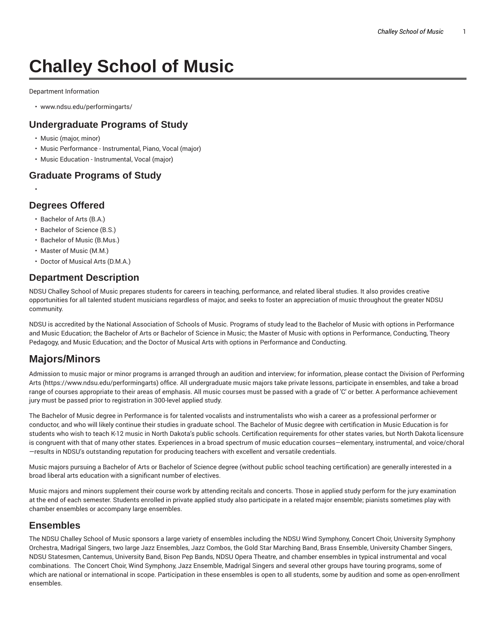# **Challey School of Music**

Department Information

• www.ndsu.edu/performingarts/

#### **Undergraduate Programs of Study**

- Music (major, minor)
- Music Performance Instrumental, Piano, Vocal (major)
- Music Education Instrumental, Vocal (major)

#### **Graduate Programs of Study**

### **Degrees Offered**

•

- Bachelor of Arts (B.A.)
- Bachelor of Science (B.S.)
- Bachelor of Music (B.Mus.)
- Master of Music (M.M.)
- Doctor of Musical Arts (D.M.A.)

#### **Department Description**

NDSU Challey School of Music prepares students for careers in teaching, performance, and related liberal studies. It also provides creative opportunities for all talented student musicians regardless of major, and seeks to foster an appreciation of music throughout the greater NDSU community.

NDSU is accredited by the National Association of Schools of Music. Programs of study lead to the Bachelor of Music with options in Performance and Music Education; the Bachelor of Arts or Bachelor of Science in Music; the Master of Music with options in Performance, Conducting, Theory Pedagogy, and Music Education; and the Doctor of Musical Arts with options in Performance and Conducting.

# **Majors/Minors**

Admission to music major or minor programs is arranged through an audition and interview; for information, please contact the Division of Performing Arts (https://www.ndsu.edu/performingarts) office. All undergraduate music majors take private lessons, participate in ensembles, and take a broad range of courses appropriate to their areas of emphasis. All music courses must be passed with a grade of 'C' or better. A performance achievement jury must be passed prior to registration in 300-level applied study.

The Bachelor of Music degree in Performance is for talented vocalists and instrumentalists who wish a career as a professional performer or conductor, and who will likely continue their studies in graduate school. The Bachelor of Music degree with certification in Music Education is for students who wish to teach K-12 music in North Dakota's public schools. Certification requirements for other states varies, but North Dakota licensure is congruent with that of many other states. Experiences in a broad spectrum of music education courses—elementary, instrumental, and voice/choral —results in NDSU's outstanding reputation for producing teachers with excellent and versatile credentials.

Music majors pursuing a Bachelor of Arts or Bachelor of Science degree (without public school teaching certification) are generally interested in a broad liberal arts education with a significant number of electives.

Music majors and minors supplement their course work by attending recitals and concerts. Those in applied study perform for the jury examination at the end of each semester. Students enrolled in private applied study also participate in a related major ensemble; pianists sometimes play with chamber ensembles or accompany large ensembles.

#### **Ensembles**

The NDSU Challey School of Music sponsors a large variety of ensembles including the NDSU Wind Symphony, Concert Choir, University Symphony Orchestra, Madrigal Singers, two large Jazz Ensembles, Jazz Combos, the Gold Star Marching Band, Brass Ensemble, University Chamber Singers, NDSU Statesmen, Cantemus, University Band, Bison Pep Bands, NDSU Opera Theatre, and chamber ensembles in typical instrumental and vocal combinations. The Concert Choir, Wind Symphony, Jazz Ensemble, Madrigal Singers and several other groups have touring programs, some of which are national or international in scope. Participation in these ensembles is open to all students, some by audition and some as open-enrollment ensembles.